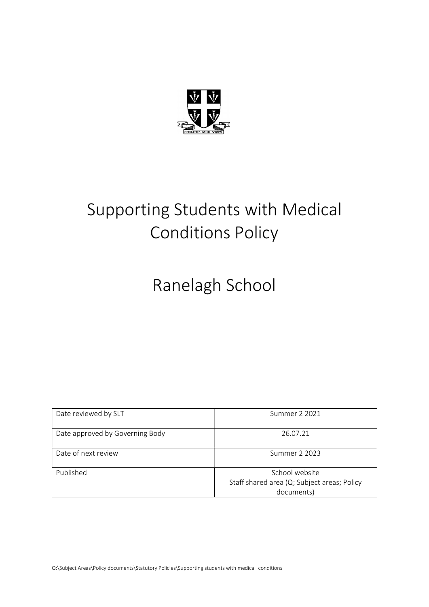

# Supporting Students with Medical Conditions Policy

Ranelagh School

| Date reviewed by SLT            | Summer 2 2021                                                               |
|---------------------------------|-----------------------------------------------------------------------------|
| Date approved by Governing Body | 26.07.21                                                                    |
| Date of next review             | Summer 2 2023                                                               |
| Published                       | School website<br>Staff shared area (Q; Subject areas; Policy<br>documents) |

Q:\Subject Areas\Policy documents\Statutory Policies\Supporting students with medical conditions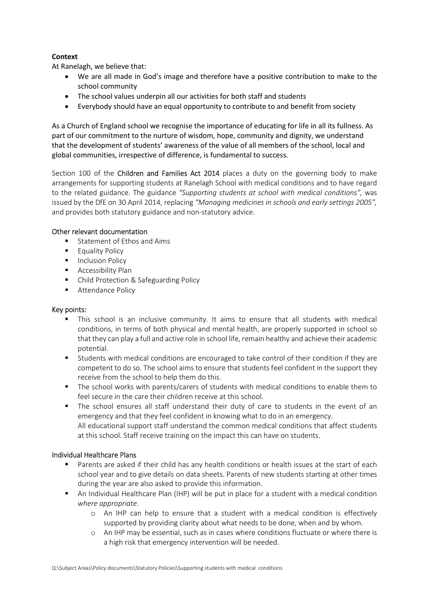# **Context**

At Ranelagh, we believe that:

- We are all made in God's image and therefore have a positive contribution to make to the school community
- The school values underpin all our activities for both staff and students
- Everybody should have an equal opportunity to contribute to and benefit from society

As a Church of England school we recognise the importance of educating for life in all its fullness. As part of our commitment to the nurture of wisdom, hope, community and dignity, we understand that the development of students' awareness of the value of all members of the school, local and global communities, irrespective of difference, is fundamental to success.

Section 100 of the **Children and Families Act 2014** places a duty on the governing body to make arrangements for supporting students at Ranelagh School with medical conditions and to have regard to the related guidance. The guidance "Supporting students at school with medical conditions", was issued by the DfE on 30 April 2014, replacing "Managing medicines in schools and early settings 2005", and provides both statutory guidance and non-statutory advice.

## Other relevant documentation

- **Statement of Ethos and Aims**
- **Equality Policy**
- **Inclusion Policy**
- **Accessibility Plan**
- Child Protection & Safeguarding Policy
- **Attendance Policy**

#### Key points:

- This school is an inclusive community. It aims to ensure that all students with medical conditions, in terms of both physical and mental health, are properly supported in school so that they can play a full and active role in school life, remain healthy and achieve their academic potential.
- Students with medical conditions are encouraged to take control of their condition if they are competent to do so. The school aims to ensure that students feel confident in the support they receive from the school to help them do this.
- The school works with parents/carers of students with medical conditions to enable them to feel secure in the care their children receive at this school.
- The school ensures all staff understand their duty of care to students in the event of an emergency and that they feel confident in knowing what to do in an emergency. All educational support staff understand the common medical conditions that affect students at this school. Staff receive training on the impact this can have on students.

#### Individual Healthcare Plans

- Parents are asked if their child has any health conditions or health issues at the start of each school year and to give details on data sheets. Parents of new students starting at other times during the year are also asked to provide this information.
- An Individual Healthcare Plan (IHP) will be put in place for a student with a medical condition where appropriate.
	- o An IHP can help to ensure that a student with a medical condition is effectively supported by providing clarity about what needs to be done, when and by whom.
	- o An IHP may be essential, such as in cases where conditions fluctuate or where there is a high risk that emergency intervention will be needed.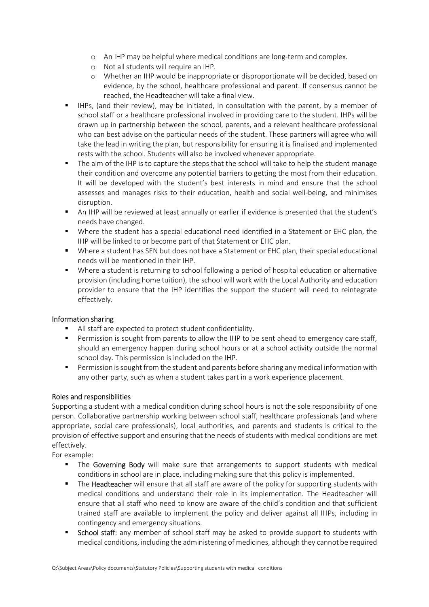- o An IHP may be helpful where medical conditions are long-term and complex.
- o Not all students will require an IHP.
- o Whether an IHP would be inappropriate or disproportionate will be decided, based on evidence, by the school, healthcare professional and parent. If consensus cannot be reached, the Headteacher will take a final view.
- IHPs, (and their review), may be initiated, in consultation with the parent, by a member of school staff or a healthcare professional involved in providing care to the student. IHPs will be drawn up in partnership between the school, parents, and a relevant healthcare professional who can best advise on the particular needs of the student. These partners will agree who will take the lead in writing the plan, but responsibility for ensuring it is finalised and implemented rests with the school. Students will also be involved whenever appropriate.
- The aim of the IHP is to capture the steps that the school will take to help the student manage their condition and overcome any potential barriers to getting the most from their education. It will be developed with the student's best interests in mind and ensure that the school assesses and manages risks to their education, health and social well-being, and minimises disruption.
- An IHP will be reviewed at least annually or earlier if evidence is presented that the student's needs have changed.
- Where the student has a special educational need identified in a Statement or EHC plan, the IHP will be linked to or become part of that Statement or EHC plan.
- Where a student has SEN but does not have a Statement or EHC plan, their special educational needs will be mentioned in their IHP.
- Where a student is returning to school following a period of hospital education or alternative provision (including home tuition), the school will work with the Local Authority and education provider to ensure that the IHP identifies the support the student will need to reintegrate effectively.

#### Information sharing

- All staff are expected to protect student confidentiality.
- Permission is sought from parents to allow the IHP to be sent ahead to emergency care staff, should an emergency happen during school hours or at a school activity outside the normal school day. This permission is included on the IHP.
- **Permission is sought from the student and parents before sharing any medical information with** any other party, such as when a student takes part in a work experience placement.

#### Roles and responsibilities

Supporting a student with a medical condition during school hours is not the sole responsibility of one person. Collaborative partnership working between school staff, healthcare professionals (and where appropriate, social care professionals), local authorities, and parents and students is critical to the provision of effective support and ensuring that the needs of students with medical conditions are met effectively.

For example:

- The Governing Body will make sure that arrangements to support students with medical conditions in school are in place, including making sure that this policy is implemented.
- The Headteacher will ensure that all staff are aware of the policy for supporting students with medical conditions and understand their role in its implementation. The Headteacher will ensure that all staff who need to know are aware of the child's condition and that sufficient trained staff are available to implement the policy and deliver against all IHPs, including in contingency and emergency situations.
- School staff: any member of school staff may be asked to provide support to students with medical conditions, including the administering of medicines, although they cannot be required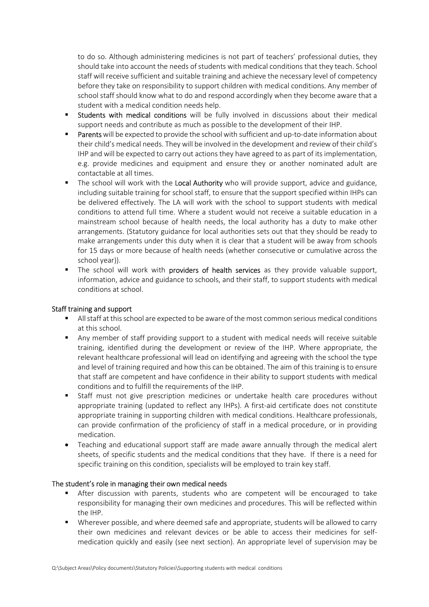to do so. Although administering medicines is not part of teachers' professional duties, they should take into account the needs of students with medical conditions that they teach. School staff will receive sufficient and suitable training and achieve the necessary level of competency before they take on responsibility to support children with medical conditions. Any member of school staff should know what to do and respond accordingly when they become aware that a student with a medical condition needs help.

- **Students with medical conditions** will be fully involved in discussions about their medical support needs and contribute as much as possible to the development of their IHP.
- **Parents** will be expected to provide the school with sufficient and up-to-date information about their child's medical needs. They will be involved in the development and review of their child's IHP and will be expected to carry out actions they have agreed to as part of its implementation, e.g. provide medicines and equipment and ensure they or another nominated adult are contactable at all times.
- The school will work with the Local Authority who will provide support, advice and guidance, including suitable training for school staff, to ensure that the support specified within IHPs can be delivered effectively. The LA will work with the school to support students with medical conditions to attend full time. Where a student would not receive a suitable education in a mainstream school because of health needs, the local authority has a duty to make other arrangements. (Statutory guidance for local authorities sets out that they should be ready to make arrangements under this duty when it is clear that a student will be away from schools for 15 days or more because of health needs (whether consecutive or cumulative across the school year)).
- The school will work with **providers of health services** as they provide valuable support, information, advice and guidance to schools, and their staff, to support students with medical conditions at school.

## Staff training and support

- All staff at this school are expected to be aware of the most common serious medical conditions at this school.
- Any member of staff providing support to a student with medical needs will receive suitable training, identified during the development or review of the IHP. Where appropriate, the relevant healthcare professional will lead on identifying and agreeing with the school the type and level of training required and how this can be obtained. The aim of this training is to ensure that staff are competent and have confidence in their ability to support students with medical conditions and to fulfill the requirements of the IHP.
- Staff must not give prescription medicines or undertake health care procedures without appropriate training (updated to reflect any IHPs). A first-aid certificate does not constitute appropriate training in supporting children with medical conditions. Healthcare professionals, can provide confirmation of the proficiency of staff in a medical procedure, or in providing medication.
- Teaching and educational support staff are made aware annually through the medical alert sheets, of specific students and the medical conditions that they have. If there is a need for specific training on this condition, specialists will be employed to train key staff.

#### The student's role in managing their own medical needs

- After discussion with parents, students who are competent will be encouraged to take responsibility for managing their own medicines and procedures. This will be reflected within the IHP.
- Wherever possible, and where deemed safe and appropriate, students will be allowed to carry their own medicines and relevant devices or be able to access their medicines for selfmedication quickly and easily (see next section). An appropriate level of supervision may be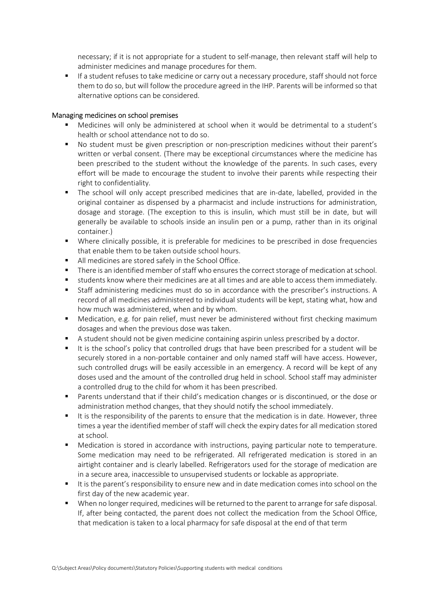necessary; if it is not appropriate for a student to self-manage, then relevant staff will help to administer medicines and manage procedures for them.

 If a student refuses to take medicine or carry out a necessary procedure, staff should not force them to do so, but will follow the procedure agreed in the IHP. Parents will be informed so that alternative options can be considered.

#### Managing medicines on school premises

- Medicines will only be administered at school when it would be detrimental to a student's health or school attendance not to do so.
- No student must be given prescription or non-prescription medicines without their parent's written or verbal consent. (There may be exceptional circumstances where the medicine has been prescribed to the student without the knowledge of the parents. In such cases, every effort will be made to encourage the student to involve their parents while respecting their right to confidentiality.
- The school will only accept prescribed medicines that are in-date, labelled, provided in the original container as dispensed by a pharmacist and include instructions for administration, dosage and storage. (The exception to this is insulin, which must still be in date, but will generally be available to schools inside an insulin pen or a pump, rather than in its original container.)
- Where clinically possible, it is preferable for medicines to be prescribed in dose frequencies that enable them to be taken outside school hours.
- All medicines are stored safely in the School Office.
- There is an identified member of staff who ensures the correct storage of medication at school.
- students know where their medicines are at all times and are able to access them immediately.
- Staff administering medicines must do so in accordance with the prescriber's instructions. A record of all medicines administered to individual students will be kept, stating what, how and how much was administered, when and by whom.
- Medication, e.g. for pain relief, must never be administered without first checking maximum dosages and when the previous dose was taken.
- A student should not be given medicine containing aspirin unless prescribed by a doctor.
- It is the school's policy that controlled drugs that have been prescribed for a student will be securely stored in a non-portable container and only named staff will have access. However, such controlled drugs will be easily accessible in an emergency. A record will be kept of any doses used and the amount of the controlled drug held in school. School staff may administer a controlled drug to the child for whom it has been prescribed.
- Parents understand that if their child's medication changes or is discontinued, or the dose or administration method changes, that they should notify the school immediately.
- It is the responsibility of the parents to ensure that the medication is in date. However, three times a year the identified member of staff will check the expiry dates for all medication stored at school.
- Medication is stored in accordance with instructions, paying particular note to temperature. Some medication may need to be refrigerated. All refrigerated medication is stored in an airtight container and is clearly labelled. Refrigerators used for the storage of medication are in a secure area, inaccessible to unsupervised students or lockable as appropriate.
- It is the parent's responsibility to ensure new and in date medication comes into school on the first day of the new academic year.
- When no longer required, medicines will be returned to the parent to arrange for safe disposal. If, after being contacted, the parent does not collect the medication from the School Office, that medication is taken to a local pharmacy for safe disposal at the end of that term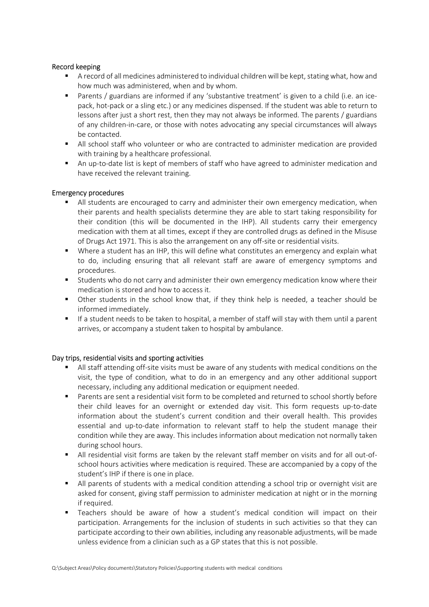#### Record keeping

- A record of all medicines administered to individual children will be kept, stating what, how and how much was administered, when and by whom.
- Parents / guardians are informed if any 'substantive treatment' is given to a child (i.e. an icepack, hot-pack or a sling etc.) or any medicines dispensed. If the student was able to return to lessons after just a short rest, then they may not always be informed. The parents / guardians of any children-in-care, or those with notes advocating any special circumstances will always be contacted.
- All school staff who volunteer or who are contracted to administer medication are provided with training by a healthcare professional.
- An up-to-date list is kept of members of staff who have agreed to administer medication and have received the relevant training.

## Emergency procedures

- All students are encouraged to carry and administer their own emergency medication, when their parents and health specialists determine they are able to start taking responsibility for their condition (this will be documented in the IHP). All students carry their emergency medication with them at all times, except if they are controlled drugs as defined in the Misuse of Drugs Act 1971. This is also the arrangement on any off-site or residential visits.
- Where a student has an IHP, this will define what constitutes an emergency and explain what to do, including ensuring that all relevant staff are aware of emergency symptoms and procedures.
- Students who do not carry and administer their own emergency medication know where their medication is stored and how to access it.
- Other students in the school know that, if they think help is needed, a teacher should be informed immediately.
- If a student needs to be taken to hospital, a member of staff will stay with them until a parent arrives, or accompany a student taken to hospital by ambulance.

## Day trips, residential visits and sporting activities

- All staff attending off-site visits must be aware of any students with medical conditions on the visit, the type of condition, what to do in an emergency and any other additional support necessary, including any additional medication or equipment needed.
- Parents are sent a residential visit form to be completed and returned to school shortly before their child leaves for an overnight or extended day visit. This form requests up-to-date information about the student's current condition and their overall health. This provides essential and up-to-date information to relevant staff to help the student manage their condition while they are away. This includes information about medication not normally taken during school hours.
- All residential visit forms are taken by the relevant staff member on visits and for all out-ofschool hours activities where medication is required. These are accompanied by a copy of the student's IHP if there is one in place.
- All parents of students with a medical condition attending a school trip or overnight visit are asked for consent, giving staff permission to administer medication at night or in the morning if required.
- Teachers should be aware of how a student's medical condition will impact on their participation. Arrangements for the inclusion of students in such activities so that they can participate according to their own abilities, including any reasonable adjustments, will be made unless evidence from a clinician such as a GP states that this is not possible.